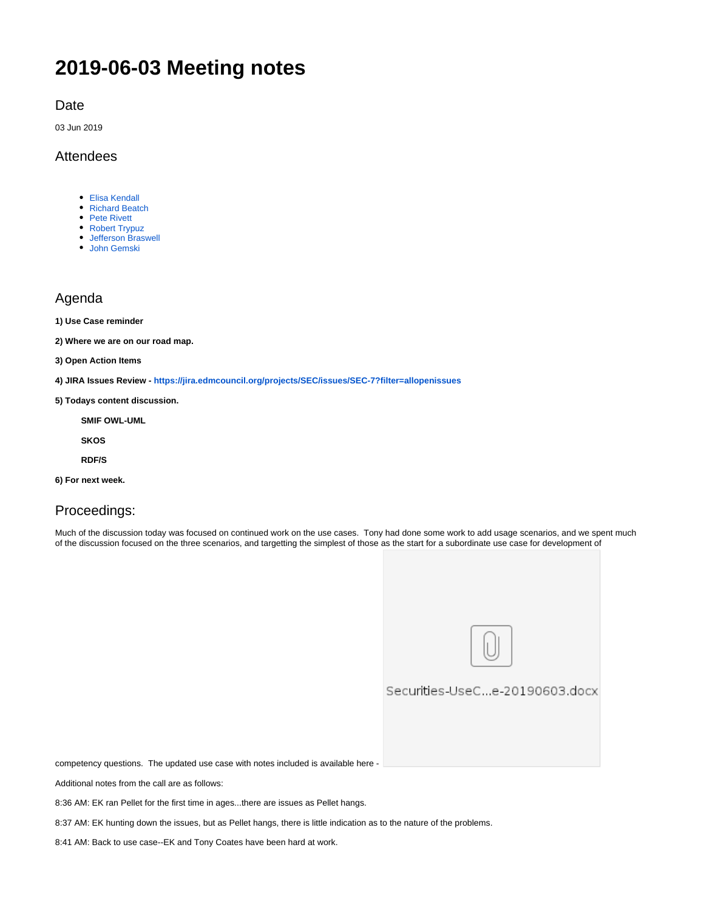# **2019-06-03 Meeting notes**

Date

03 Jun 2019

### Attendees

- [Elisa Kendall](https://wiki.edmcouncil.org/display/~ElisaKendall)
- [Richard Beatch](https://wiki.edmcouncil.org/display/~rbeatch)
- [Pete Rivett](https://wiki.edmcouncil.org/display/~rivettp)
- [Robert Trypuz](https://wiki.edmcouncil.org/display/~trypuz)
- [Jefferson Braswell](https://wiki.edmcouncil.org/display/~ljb) [John Gemski](https://wiki.edmcouncil.org/display/~jgemski)

### Agenda

**1) Use Case reminder**

**2) Where we are on our road map.** 

**3) Open Action Items**

- **4) JIRA Issues Review <https://jira.edmcouncil.org/projects/SEC/issues/SEC-7?filter=allopenissues>**
- **5) Todays content discussion.**

**SMIF OWL-UML**

**SKOS**

**RDF/S**

**6) For next week.**

## Proceedings:

Much of the discussion today was focused on continued work on the use cases. Tony had done some work to add usage scenarios, and we spent much of the discussion focused on the three scenarios, and targetting the simplest of those as the start for a subordinate use case for development of



### Securities-UseC...e-20190603.docx

competency questions. The updated use case with notes included is available here -

Additional notes from the call are as follows:

8:36 AM: EK ran Pellet for the first time in ages...there are issues as Pellet hangs.

8:37 AM: EK hunting down the issues, but as Pellet hangs, there is little indication as to the nature of the problems.

8:41 AM: Back to use case--EK and Tony Coates have been hard at work.